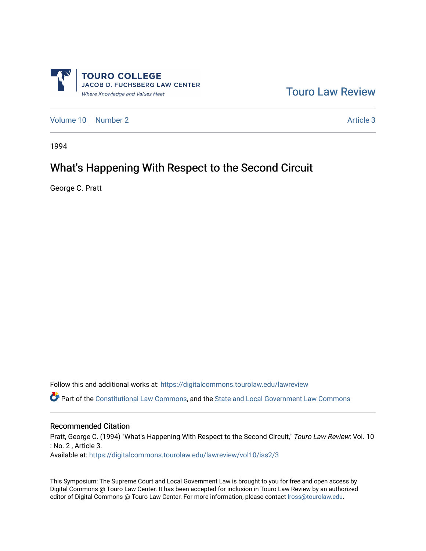

[Touro Law Review](https://digitalcommons.tourolaw.edu/lawreview) 

[Volume 10](https://digitalcommons.tourolaw.edu/lawreview/vol10) [Number 2](https://digitalcommons.tourolaw.edu/lawreview/vol10/iss2) Article 3

1994

# What's Happening With Respect to the Second Circuit

George C. Pratt

Follow this and additional works at: [https://digitalcommons.tourolaw.edu/lawreview](https://digitalcommons.tourolaw.edu/lawreview?utm_source=digitalcommons.tourolaw.edu%2Flawreview%2Fvol10%2Fiss2%2F3&utm_medium=PDF&utm_campaign=PDFCoverPages)

Part of the [Constitutional Law Commons,](http://network.bepress.com/hgg/discipline/589?utm_source=digitalcommons.tourolaw.edu%2Flawreview%2Fvol10%2Fiss2%2F3&utm_medium=PDF&utm_campaign=PDFCoverPages) and the [State and Local Government Law Commons](http://network.bepress.com/hgg/discipline/879?utm_source=digitalcommons.tourolaw.edu%2Flawreview%2Fvol10%2Fiss2%2F3&utm_medium=PDF&utm_campaign=PDFCoverPages) 

#### Recommended Citation

Pratt, George C. (1994) "What's Happening With Respect to the Second Circuit," Touro Law Review: Vol. 10 : No. 2 , Article 3. Available at: [https://digitalcommons.tourolaw.edu/lawreview/vol10/iss2/3](https://digitalcommons.tourolaw.edu/lawreview/vol10/iss2/3?utm_source=digitalcommons.tourolaw.edu%2Flawreview%2Fvol10%2Fiss2%2F3&utm_medium=PDF&utm_campaign=PDFCoverPages)

This Symposium: The Supreme Court and Local Government Law is brought to you for free and open access by Digital Commons @ Touro Law Center. It has been accepted for inclusion in Touro Law Review by an authorized editor of Digital Commons @ Touro Law Center. For more information, please contact [lross@tourolaw.edu.](mailto:lross@tourolaw.edu)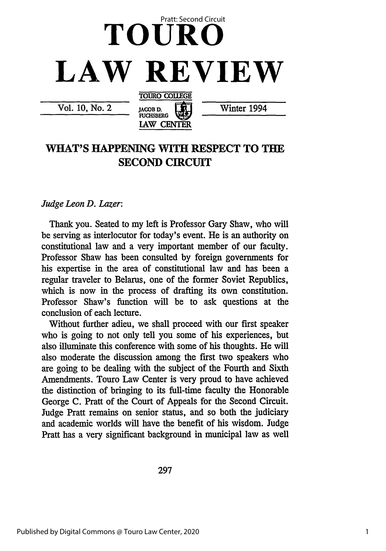

Vol. 10, No. 2

JACOB **D. L ]** Winter 1994

## **WHAT'S HAPPENING WITH RESPECT TO THE SECOND CIRCUIT**

**FUCHSBERG LAW CENTER**

#### *Judge Leon D. Lazer:*

Thank you. Seated to my left is Professor Gary Shaw, who will be serving as interlocutor for today's event. He is an authority on constitutional law and a very important member of our faculty. Professor Shaw has been consulted by foreign governments for his expertise in the area of constitutional law and has been a regular traveler to Belarus, one of the former Soviet Republics, which is now in the process of drafting its own constitution. Professor Shaw's function will be to ask questions at the conclusion of each lecture.

Without further adieu, we shall proceed with our first speaker who is going to not only tell you some of his experiences, but also illuminate this conference with some of his thoughts. He will also moderate the discussion among the first two speakers who are going to be dealing with the subject of the Fourth and Sixth Amendments. Touro Law Center is very proud to have achieved the distinction of bringing to its full-time faculty the Honorable George **C.** Pratt of the Court of Appeals for the Second Circuit. Judge Pratt remains on senior status, and so both the judiciary and academic worlds will have the benefit of his wisdom. Judge Pratt has a very significant background in municipal law as well

297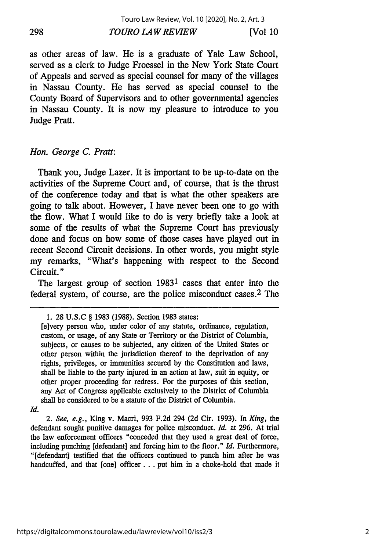as other areas of law. He is a graduate of Yale Law School, served as a clerk to Judge Froessel in the New York State Court of Appeals and served as special counsel for many of the villages in Nassau County. He has served as special counsel to the County Board of Supervisors and to other governmental agencies in Nassau County. It is now my pleasure to introduce to you Judge Pratt.

#### *Hon. George C. Pratt:*

Thank you, Judge Lazer. It is important to be up-to-date on the activities of the Supreme Court and, of course, that is the thrust of the conference today and that is what the other speakers are going to talk about. However, I have never been one to go with the flow. What I would like to do is very briefly take a look at some of the results of what the Supreme Court has previously done and focus on how some of those cases have played out in recent Second Circuit decisions. In other words, you might style my remarks, "What's happening with respect to the Second Circuit."

The largest group of section 19831 cases that enter into the federal system, of course, are the police misconduct cases. 2 The

*2. See, e.g.,* King v. Macri, 993 F.2d 294 (2d Cir. 1993). In *King, the* defendant sought punitive damages for police misconduct. *Id.* at 296. At trial the law enforcement officers "conceded that they used a great deal of force, including punching [defendant] and forcing him to the floor." *Id.* Furthermore, "[defendant] testified that the officers continued to punch him after he was handcuffed, and that [one] officer... put him in a choke-hold that made it

<sup>1. 28</sup> U.S.C § 1983 (1988). Section 1983 states:

<sup>[</sup>e]very person who, under color of any statute, ordinance, regulation, custom, or usage, of any State or Territory or the District of Columbia, subjects, or causes to be subjected, any citizen of the United States or other person within the jurisdiction thereof to the deprivation of any rights, privileges, or immunities secured by the Constitution and laws, shall be liable to the party injured in an action at law, suit in equity, or other proper proceeding for redress. For the purposes of this section, any Act of Congress applicable exclusively to the District of Columbia shall be considered to be a statute of the District of Columbia.

*Id.*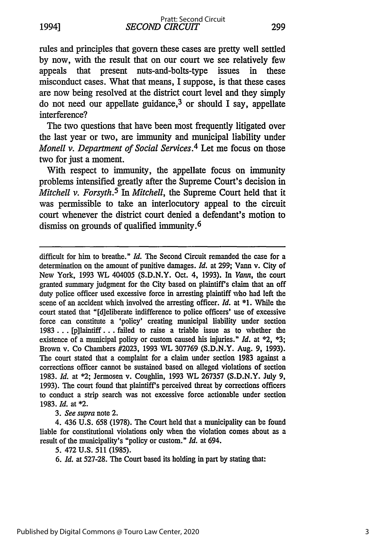*SECOND CIRCUIT* 1994] **299** Pratt: Second Circuit

rules and principles that govern these cases are pretty well settled by now, with the result that on our court we see relatively few appeals that present nuts-and-bolts-type issues in these misconduct cases. What that means, I suppose, is that these cases are now being resolved at the district court level and they simply do not need our appellate guidance, $3$  or should I say, appellate interference?

The two questions that have been most frequently litigated over the last year or two, are immunity and municipal liability under *Monell v. Department of Social Services.4* Let me focus on those two for just a moment.

With respect to immunity, the appellate focus on immunity problems intensified greatly after the Supreme Court's decision in *Mitchell v. Forsyth.5 In Mitchell,* the Supreme Court held that it was permissible to take an interlocutory appeal to the circuit court whenever the district court denied a defendant's motion to dismiss on grounds of qualified immunity. <sup>6</sup>

difficult for him to breathe." *Id.* The Second Circuit remanded the case for a determination on the amount of punitive damages. *Id.* at 299; Vann v. City of New York, 1993 **VL** 404005 (S.D.N.Y. Oct. 4, 1993). In *Vann,* the court granted summary judgment for the City based on plaintiff's claim that an off duty police officer used excessive force in arresting plaintiff who had left the scene of an accident which involved the arresting officer. *Id.* at \*1. While the court stated that "[d]eliberate indifference to police officers' use of excessive force can constitute a 'policy' creating municipal liability under section 1983... [p]laintiff **...** failed to raise a triable issue as to whether the existence of a municipal policy or custom caused his injuries." *Id.* at  $\approx$ 2,  $\approx$ 3; Brown v. Co Chambers #2023, 1993 WL 307769 (S.D.N.Y. Aug. 9, 1993). The court stated that a complaint for a claim under section 1983 against a corrections officer cannot be sustained based on alleged violations of section 1983. *Id.* at \*2; Jermosen v. Coughlin, 1993 WL 267357 (S.D.N.Y. July 9, 1993). The court found that plaintiff's perceived threat by corrections officers to conduct a strip search was not excessive force actionable under section 1983. *Id.* at \*2.

*3. See supra* note 2.

4. 436 U.S. 658 (1978). The Court held that a municipality can be found liable for constitutional violations only when the violation comes about as a result of the municipality's "policy or custom." *Id.* at 694.

5. 472 U.S. 511 (1985).

*6. Id.* at 527-28. The Court based its holding in part by stating that: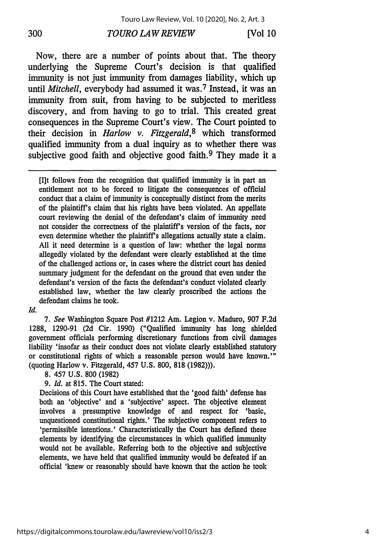### *TOURO LAW REVIEW* **300 [Vol 10**

Now, there are a number of points about that. The theory underlying the Supreme Court's decision is that qualified immunity is not just immunity from damages liability, which up until *Mitchell*, everybody had assumed it was.<sup>7</sup> Instead, it was an immunity from suit, from having to be subjected to meritless discovery, and from having to go to trial. This created great consequences in the Supreme Court's view. The Court pointed to their decision in *Harlow v. Fitzgerald,8* which transformed qualified immunity from a dual inquiry as to whether there was subjective good faith and objective good faith.<sup>9</sup> They made it a

[It follows from the recognition that qualified immunity is in part an entitlement not to be forced to litigate the consequences of official conduct that a claim of immunity is conceptually distinct from the merits of the plaintiff's claim that his rights have been violated. An appellate court reviewing the denial of the defendant's claim of immunity need not consider the correctness of the plaintiff's version of the facts, nor even determine whether the plaintiff's allegations actually state a claim. All it need determine is a question of law: whether the legal norms allegedly violated by the defendant were clearly established at the time of the challenged actions or, in cases where the district court has denied summary judgment for the defendant on the ground that even under the defendant's version of the facts the defendant's conduct violated clearly established law, whether the law clearly proscribed the actions the defendant claims he took.

#### *Id.*

*7. See* Washington Square Post #1212 Am. Legion v. Maduro, 907 F.2d 1288, 1290-91 (2d Cir. 1990) ("Qualified immunity has long shielded government officials performing discretionary functions from civil damages liability 'insofar as their conduct does not violate clearly established statutory or constitutional rights of which a reasonable person would have known.'" (quoting Harlow v. Fitzgerald, 457 U.S. 800, 818 (1982))).

8. 457 U.S. 800 (1982)

*9. Id.* at 815. The Court stated:

Decisions of this Court have established that the 'good faith' defense has both an 'objective' and a 'subjective' aspect. The objective element involves a presumptive knowledge of and respect for 'basic, unquestioned constitutional rights.' The subjective component refers to 'permissible intentions.' Characteristically the Court has defined these elements by identifying the circumstances in which qualified immunity would not be available. Referring both to the objective and subjective elements, we have held that qualified immunity would be defeated if an official 'knew or reasonably should have known that the action he took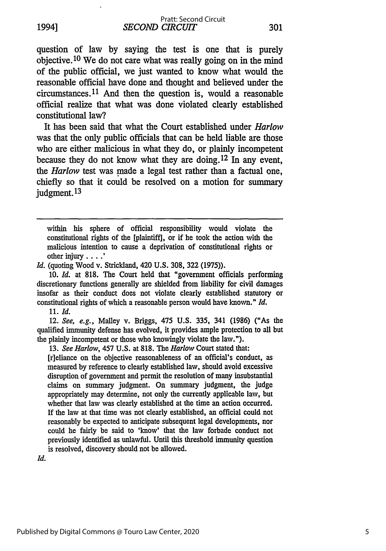*SECOND CIRCUIT* Pratt: Second Circuit

question of law **by** saying the test is one that is purely objective. 10 We do not care what was really going on in the mind of the public official, we just wanted to know what would the reasonable official have done and thought and believed under the circumstances.<sup>11</sup> And then the question is, would a reasonable official realize that what was done violated clearly established constitutional law?

It has been said that what the Court established under *Harlow* was that the only public officials that can be held liable are those who are either malicious in what they do, or plainly incompetent because they do not know what they are doing. **12** In any event, the *Harlow* test was made a legal test rather than a factual one, chiefly so that it could be resolved on a motion for summary judgment. **<sup>13</sup>**

within his sphere of official responsibility would violate the constitutional rights of the [plaintiff], or if he took the action with the malicious intention to cause a deprivation of constitutional rights or other injury **.... '**

*Id.* (quoting Wood v. Strickland, 420 U.S. 308, 322 (1975)).

10. *Id.* at 818. The Court held that "government officials performing discretionary functions generally are shielded from liability for civil damages insofar as their conduct does not violate clearly established statutory or constitutional rights of which a reasonable person would have known." *Id.*

11. *Id.*

12. *See, e.g.,* Malley v. Briggs, 475 U.S. 335, 341 (1986) ("As the qualified immunity defense has evolved, it provides ample protection to all but the plainly incompetent or those who knowingly violate the law.").

13. *See Harlow,* 457 U.S. at 818. The *Harlow* Court stated that:

[r]eliance on the objective reasonableness of an official's conduct, as measured by reference to clearly established law, should avoid excessive disruption of government and permit the resolution of many insubstantial claims on summary judgment. On summary judgment, the judge appropriately may determine, not only the currently applicable law, but whether that law was clearly established at the time an action occurred. If the law at that time was not clearly established, an official could not reasonably be expected to anticipate subsequent legal developments, nor could he fairly be said to 'know' that the law forbade conduct not previously identified as unlawful. Until this threshold immunity question is resolved, discovery should not be allowed.

Id.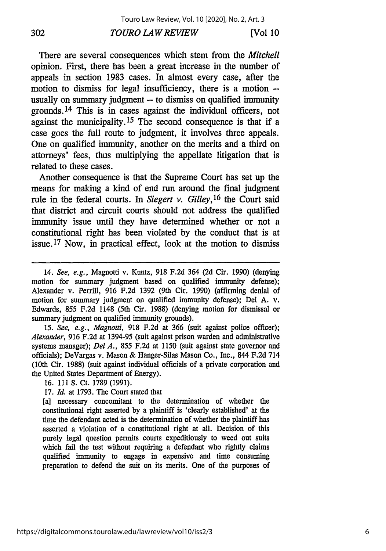#### *TOURO LAW REVIEW 302* **[Vol 10**

There are several consequences which stem from the *Mitchell* opinion. First, there has been a great increase in the number of appeals in section 1983 cases. In almost every case, after the motion to dismiss for legal insufficiency, there is a motion - usually on summary judgment -- to dismiss on qualified immunity grounds. 14 This is in cases against the individual officers, not against the municipality. 15 The second consequence is that if a case goes the full route to judgment, it involves three appeals. One on qualified immunity, another on the merits and a third on attorneys' fees, thus multiplying the appellate litigation that is related to these cases.

Another consequence is that the Supreme Court has set up the means for making a kind of end run around the final judgment rule in the federal courts. In *Siegert v. Gilley,16* the Court said that district and circuit courts should not address the qualified immunity issue until they have determined whether or not a constitutional right has been violated by the conduct that is at issue. 17 Now, in practical effect, look at the motion to dismiss

15. *See, e.g., Magnotti,* 918 F.2d at 366 (suit against police officer); *Alexander,* 916 F.2d at 1394-95 (suit against prison warden and administrative systems manager); *Del A.,* 855 F.2d at 1150 (suit against state governor and officials); DeVargas v. Mason & Hanger-Silas Mason Co., Inc., 844 F.2d 714 (10th Cir. 1988) (suit against individual officials of a private corporation and the United States Department of Energy).

16. 111 **S.** Ct. 1789 (1991).

17. *Id.* at 1793. The Court stated that

**[a]** necessary concomitant to the determination of whether the constitutional right asserted by a plaintiff is 'clearly established' at the time the defendant acted is the determination of whether the plaintiff has asserted a violation of a constitutional right at all. Decision of this purely legal question permits courts expeditiously to weed out suits which fail the test without requiring a defendant who rightly claims qualified immunity to engage in expensive and time consuming preparation to defend the suit on its merits. One of the purposes of

<sup>14.</sup> See, e.g., Magnotti v. Kuntz, 918 F.2d 364 (2d Cir. 1990) (denying motion for summary judgment based on qualified immunity defense); Alexander v. Perrill, 916 F.2d 1392 (9th Cir. 1990) (affirming denial of motion for summary judgment on qualified immunity defense); Del A. v. Edwards, 855 F.2d 1148 (5th Cir. 1988) (denying motion for dismissal or summary judgment on qualified immunity grounds).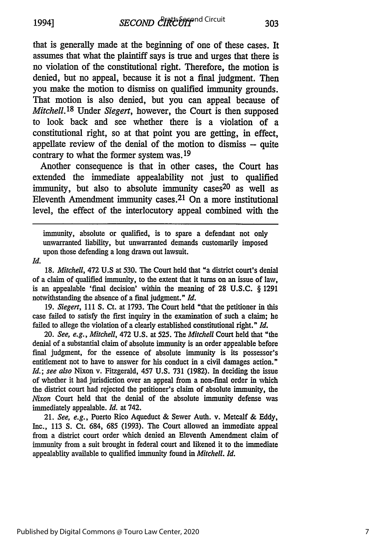that is generally made at the beginning of one of these cases. It assumes that what the plaintiff says is true and urges that there is no violation of the constitutional right. Therefore, the motion is denied, but no appeal, because it is not a final judgment. Then you make the motion to dismiss on qualified immunity grounds. That motion is also denied, but you can appeal because of *Mitchell.18* Under *Siegert,* however, the Court is then supposed to look back and see whether there is a violation of a constitutional right, so at that point you are getting, in effect, appellate review of the denial of the motion to dismiss **-** quite contrary to what the former system was. 19

Another consequence is that in other cases, the Court has extended the immediate appealability not just to qualified immunity, but also to absolute immunity cases<sup>20</sup> as well as Eleventh Amendment immunity cases.<sup>21</sup> On a more institutional level, the effect of the interlocutory appeal combined with the

immunity, absolute or qualified, is to spare a defendant not only unwarranted liability, but unwarranted demands customarily imposed upon those defending a long drawn out lawsuit.

*Id.*

18. *Mitchell,* 472 U.S at 530. The Court held that "a district court's denial of a claim of qualified immunity, to the extent that it turns on an issue of law, is an appealable 'final decision' within the meaning of 28 U.S.C. § 1291 notwithstanding the absence of a final judgment." *Id.*

19. *Siegert,* 111 S. Ct. at 1793. The Court held "that the petitioner in this case failed to satisfy the first inquiry in the examination of such a claim; he failed to allege the violation of a clearly established constitutional right." *Id.*

20. *See, e.g., Mitchell,* 472 U.S. at 525. The *Mitchell* Court held that "the denial of a substantial claim of absolute immunity is an order appealable before final judgment, for the essence of absolute immunity is its possessor's entitlement not to have to answer for his conduct in a civil damages action." *Id.; see also* Nixon v. Fitzgerald, 457 U.S. 731 (1982). In deciding the issue of whether it had jurisdiction over an appeal from a non-final order in which the district court had rejected the petitioner's claim of absolute immunity, the *Nitxon* Court held that the denial of the absolute immunity defense was immediately appealable. *Id.* at 742.

21. *See, e.g.,* Puerto Rico Aqueduct & Sewer Auth. v. Metcalf & Eddy, Inc., 113 **S.** Ct. 684, 685 (1993). The Court allowed an immediate appeal from a district court order which denied an Eleventh Amendment claim of immunity from a suit brought in federal court and likened it to the immediate appealablity available to qualified immunity found in *Mitchell. Id.*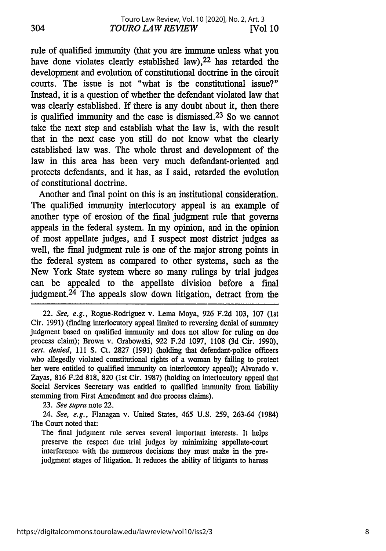rule of qualified immunity (that you are immune unless what you have done violates clearly established law), <sup>22</sup> has retarded the development and evolution of constitutional doctrine in the circuit courts. The issue is not "what is the constitutional issue?" Instead, it is a question of whether the defendant violated law that was clearly established. If there is any doubt about it, then there is qualified immunity and the case is dismissed. 23 So we cannot take the next step and establish what the law is, with the result that in the next case you still do not know what the clearly established law was. The whole thrust and development of the law in this area has been very much defendant-oriented and protects defendants, and it has, as I said, retarded the evolution of constitutional doctrine.

Another and final point on this is an institutional consideration. The qualified immunity interlocutory appeal is an example of another type of erosion of the final judgment rule that governs appeals in the federal system. In my opinion, and in the opinion of most appellate judges, and I suspect most district judges as well, the final judgment rule is one of the major strong points in the federal system as compared to other systems, such as the New York State system where so many rulings by trial judges can be appealed to the appellate division before a final judgment. 24 The appeals slow down litigation, detract from the

22. *See, e.g.,* Rogue-Rodriguez v. Lema Moya, 926 F.2d 103, 107 (1st Cir. 1991) (finding interlocutory appeal limited to reversing denial of summary judgment based on qualified immunity and does not allow for ruling on due process claim); Brown v. Grabowski, 922 F.2d 1097, 1108 (3d Cir. 1990), *cert. denied,* 111 S. Ct. 2827 (1991) (holding that defendant-police officers who allegedly violated constitutional rights of a woman by failing to protect her were entitled to qualified immunity on interlocutory appeal); Alvarado v. Zayas, 816 F.2d 818, 820 (1st Cir. 1987) (holding on interlocutory appeal that Social Services Secretary was entitled to qualified immunity from liability stemming from First Amendment and due process claims).

23. *See supra* note 22.

24. *See, e.g.,* Flanagan v. United States, 465 U.S. 259, 263-64 (1984) The Court noted that:

The final judgment rule serves several important interests. It helps preserve the respect due trial judges by minimizing appellate-court interference with the numerous decisions they must make in the prejudgment stages of litigation. It reduces the ability of litigants to harass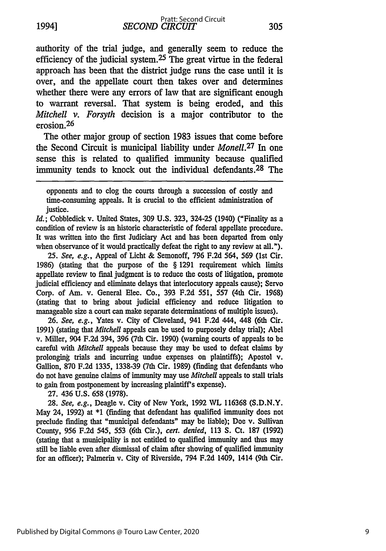authority of the trial judge, and generally seem to reduce the efficiency of the judicial system.25 The great virtue in the federal approach has been that the district judge runs the case until it is over, and the appellate court then takes over and determines whether there were any errors of law that are significant enough to warrant reversal. That system is being eroded, and this *Mitchell v. Forsyth* decision is a major contributor to the erosion. $26$ 

The other major group of section 1983 issues that come before the Second Circuit is municipal liability under *Monell.27* In one sense this is related to qualified immunity because qualified immunity tends to knock out the individual defendants.<sup>28</sup> The

opponents and to clog the courts through a succession of costly and time-consuming appeals. It is crucial to the efficient administration of justice.

*Id.;* Cobbledick v. United States, 309 **U.S.** 323, 324-25 (1940) ("Finality as a condition of review is an historic characteristic of federal appellate procedure. It was written into the first Judiciary Act and has been departed from only when observance of it would practically defeat the right to any review at all.").

*25. See, e.g.,* Appeal of Licht & Semonoff, 796 F.2d 564, 569 (1st Cir. 1986) (stating that the purpose of the § 1291 requirement which limits appellate review to final judgment is to reduce the costs of litigation, promote judicial efficiency and eliminate delays that interlocutory appeals cause); Servo Corp. of Am. v. General Elec. Co., 393 F.2d 551, 557 (4th Cir. 1968) (stating that to bring about judicial efficiency and reduce litigation to manageable size a court can make separate determinations of multiple issues).

26. *See, e.g.,* Yates v. City of Cleveland, 941 F.2d 444, 448 (6th Cir. 1991) (stating that *Mitchell* appeals can be used to purposely delay trial); Abel v. Miller, 904 F.2d 394, 396 (7th Cir. 1990) (warning courts of appeals to be careful with *Mitchell* appeals because they may be used to defeat claims by prolonging trials and incurring undue expenses on plaintiffs); Apostol v. Gallion, 870 F.2d 1335, 1338-39 (7th Cir. 1989) (finding that defendants who do not have genuine claims of immunity may use *Mitchell* appeals to stall trials to gain from postponement by increasing plaintiff's expense).

27. 436 U.S. 658 (1978).

28. *See, e.g.,* Deagle v. City of New York, 1992 **VL** 116368 (S.D.N.Y. May 24, 1992) at \*1 (finding that defendant has qualified immunity does not preclude finding that "municipal defendants" may be liable); Doe v. Sullivan County, 956 F.2d 545, 553 (6th Cir.), *cert. denied,* 113 **S.** Ct. 187 (1992) (stating that a municipality is not entitled to qualified immunity and thus may still be liable even after dismissal of claim after showing of qualified immunity for an officer); Palmerin v. City of Riverside, 794 F.2d 1409, 1414 (9th Cir.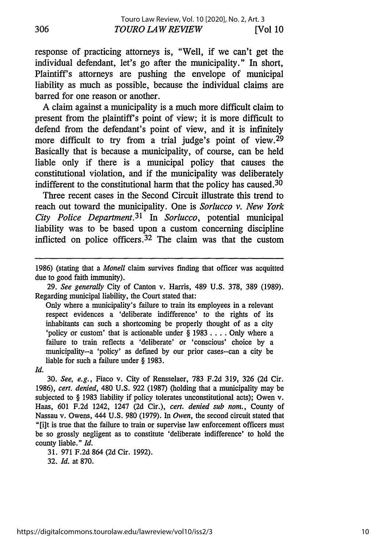response of practicing attorneys is, "Well, if we can't get the individual defendant, let's go after the municipality." In short, Plaintiff's attorneys are pushing the envelope of municipal liability as much as possible, because the individual claims are barred for one reason or another.

A claim against a municipality is a much more difficult claim to present from the plaintiff's point of view; it is more difficult to defend from the defendant's point of view, and it is infinitely more difficult to try from a trial judge's point of view.  $2^9$ Basically that is because a municipality, of course, can be held liable only if there is a municipal policy that causes the constitutional violation, and if the municipality was deliberately indifferent to the constitutional harm that the policy has caused.<sup>30</sup>

Three recent cases in the Second Circuit illustrate this trend to reach out toward the municipality. One is *Sorlucco v. New York City Police Department.31* In *Sorlucco,* potential municipal liability was to be based upon a custom concerning discipline inflicted on police officers.  $32$  The claim was that the custom

29. *See generally* City of Canton v. Harris, 489 U.S. 378, 389 (1989). Regarding municipal liability, the Court stated that:

Only where a municipality's failure to train its employees in a relevant respect evidences a 'deliberate indifference' to the rights of its inhabitants can such a shortcoming be properly thought of as a city 'policy or custom' that is actionable under § 1983 .... Only where a failure to train reflects a 'deliberate' or 'conscious' choice by a municipality--a 'policy' as defined by our prior cases--can a city be liable for such a failure under § 1983.

*Id.*

30. *See, e.g.,* Fiaco v. City of Rensselaer, 783 F.2d 319, 326 (2d Cir. 1986), *cert. denied,* 480 U.S. 922 (1987) (holding that a municipality may be subjected to § 1983 liability if policy tolerates unconstitutional acts); Owen v. Haas, 601 F.2d 1242, 1247 (2d Cir.), *cert. denied sub nom.,* County of Nassau v. Owens, 444 U.S. 980 (1979). In *Owen,* the second circuit stated that "[i]t is true that the failure to train or supervise law enforcement officers must be so grossly negligent as to constitute 'deliberate indifference' to hold the county liable." *Id.*

31. 971 F.2d 864 (2d Cir. 1992).

32. *Id.* at 870.

<sup>1986)</sup> (stating that a *Monell* claim survives finding that officer was acquitted due to good faith immunity).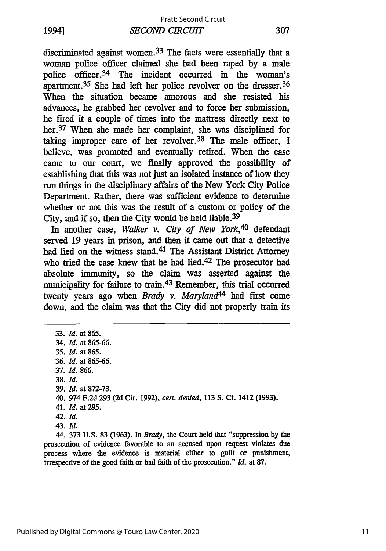*SECOND CIRCUIT* 1994] **307** Pratt: Second Circuit

discriminated against women.33 The facts were essentially that a woman police officer claimed she had been raped by a male police officer. 34 The incident occurred in the woman's apartment.35 She had left her police revolver on the dresser. <sup>36</sup> When the situation became amorous and she resisted his advances, he grabbed her revolver and to force her submission, he fired it a couple of times into the mattress directly next to her.<sup>37</sup> When she made her complaint, she was disciplined for taking improper care of her revolver.<sup>38</sup> The male officer, I believe, was promoted and eventually retired. When the case came to our court, we finally approved the possibility of establishing that this was not just an isolated instance of how they run things in the disciplinary affairs of the New York City Police Department. Rather, there was sufficient evidence to determine whether or not this was the result of a custom or policy of the City, and if so, then the City would be held liable. <sup>39</sup>

In another case, *Walker v. City of New York,40* defendant served 19 years in prison, and then it came out that a detective had lied on the witness stand.41 The Assistant District Attorney who tried the case knew that he had lied.<sup>42</sup> The prosecutor had absolute immunity, so the claim was asserted against the municipality for failure to train.43 Remember, this trial occurred twenty years ago when *Brady v. Maryland44* had first come down, and the claim was that the City did not properly train its

33. *Id.* at 865. 34. *Id.* at 865-66. 35. *Id.* at 865. 36. *Id.* at 865-66. 37. *Id.* 866. 38. *Id.* 39. *Id.* at 872-73. 40. 974 F.2d 293 (2d Cir. 1992), *cert. denied,* 113 S. Ct. 1412 (1993). 41. *Id.* at 295. 42. *Id.* 43. *Id.* 44. 373 U.S. 83 (1963). In *Brady,* the Court held that "suppression by the

prosecution of evidence favorable to an accused upon request violates due process where the evidence is material either to guilt or punishment, irrespective of the good faith or bad faith of the prosecution." *Id.* at 87.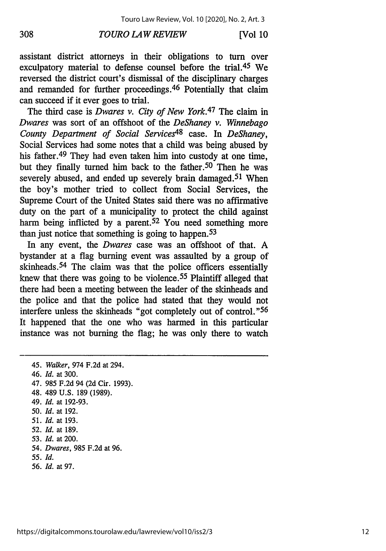#### *TOURO LAW REVIEW* **308 [Vol 10**

assistant district attorneys in their obligations to turn over exculpatory material to defense counsel before the trial.45 We reversed the district court's dismissal of the disciplinary charges and remanded for further proceedings. 46 Potentially that claim can succeed if it ever goes to trial.

The third case is *Dwares v. City of New York.47* The claim in *Dwares* was sort of an offshoot of the *DeShaney v. Winnebago County Department of Social Services48* case. In *DeShaney,* Social Services had some notes that a child was being abused by his father.<sup>49</sup> They had even taken him into custody at one time, but they finally turned him back to the father.<sup>50</sup> Then he was severely abused, and ended up severely brain damaged.<sup>51</sup> When the boy's mother tried to collect from Social Services, the Supreme Court of the United States said there was no affirmative duty on the part of a municipality to protect the child against harm being inflicted by a parent.<sup>52</sup> You need something more than just notice that something is going to happen.<sup>53</sup>

In any event, the *Dwares* case was an offshoot of that. A bystander at a flag burning event was assaulted by a group of skinheads. 54 The claim was that the police officers essentially knew that there was going to be violence. 55 Plaintiff alleged that there had been a meeting between the leader of the skinheads and the police and that the police had stated that they would not interfere unless the skinheads "got completely out of control." <sup>56</sup> It happened that the one who was harmed in this particular instance was not burning the flag; he was only there to watch

<sup>45.</sup> *Walker,* 974 F.2d at 294. 46. *Id.* at 300. 47. 985 F.2d 94 (2d Cir. 1993). 48. 489 U.S. 189 (1989). 49. *Id.* at 192-93. *50. Id.* at 192. 51. *Id.* at 193. 52. *Id.* at 189. 53. *Id.* at 200. 54. *Dwares,* 985 F.2d at 96. *55. Id.* 56. *Id.* at 97.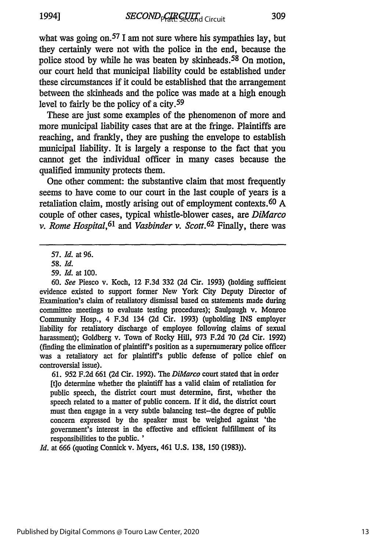what was going on.<sup>57</sup> I am not sure where his sympathies lay, but they certainly were not with the police in the end, because the police stood by while he was beaten by skinheads.<sup>58</sup> On motion, our court held that municipal liability could be established under these circumstances if it could be established that the arrangement between the skinheads and the police was made at a high enough level to fairly be the policy of a city. <sup>59</sup>

These are just some examples of the phenomenon of more and more municipal liability cases that are at the fringe. Plaintiffs are reaching, and frankly, they are pushing the envelope to establish municipal liability. It is largely a response to the fact that you cannot get the individual officer in many cases because the qualified immunity protects them.

One other comment: the substantive claim that most frequently seems to have come to our court in the last couple of years is a retaliation claim, mostly arising out of employment contexts. 60 A couple of other cases, typical whistle-blower cases, are *DiMarco v. Rome Hospital,61 and Vasbinder v. Scott.62* Finally, there was

60. See Piesco v. Koch, 12 F.3d 332 (2d Cir. 1993) (holding sufficient evidence existed to support former New York City Deputy Director of Examination's claim of retaliatory dismissal based on statements made during committee meetings to evaluate testing procedures); Saulpaugh v. Monroe Community Hosp., 4 F.3d 134 (2d Cir. 1993) (upholding **INS** employer liability for retaliatory discharge of employee following claims of sexual harassment); Goldberg v. Town of Rocky Hill, 973 F.2d 70 (2d Cir. 1992) (finding the elimination of plaintiff's position as a supernumerary police officer was a retaliatory act for plaintiff's public defense of police chief on controversial issue).

61. 952 F.2d 661 (2d Cir. 1992). The *DiMarco* court stated that in order [t]o determine whether the plaintiff has a valid claim of retaliation for public speech, the district court must determine, first, whether the speech related to a matter of public concern. If it did, the district court must then engage in a very subtle balancing test-the degree of public concern expressed by the speaker must be weighed against 'the government's interest in the effective and efficient fulfillment of its responsibilities to the public. **'**

*Id.* at 666 (quoting Connick v. Myers, 461 U.S. 138, 150 (1983)).

<sup>57.</sup> *Id.* at 96.

*<sup>58.</sup> Id.*

*<sup>59.</sup> Id.* at 100.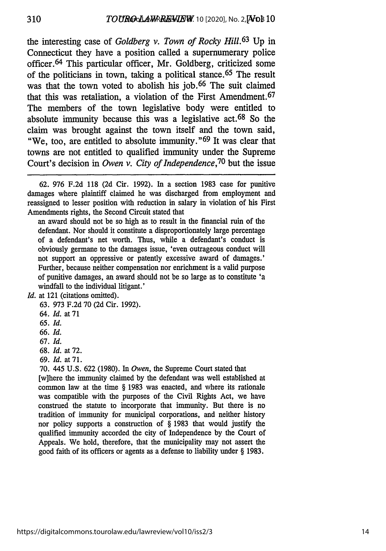the interesting case of *Goldberg v. Town of Rocky Hill.63* Up in Connecticut they have a position called a supernumerary police officer. 64 This particular officer, Mr. Goldberg, criticized some of the politicians in town, taking a political stance. 65 The result was that the town voted to abolish his job.<sup>66</sup> The suit claimed that this was retaliation, a violation of the First Amendment. <sup>67</sup> The members of the town legislative body were entitled to absolute immunity because this was a legislative act.<sup>68</sup> So the claim was brought against the town itself and the town said, "We, too, are entitled to absolute immunity." 69 It was clear that towns are not entitled to qualified immunity under the Supreme Court's decision in *Owen v. City of Independence,70* but the issue

an award should not be so high as to result in the financial ruin of the defendant. Nor should it constitute a disproportionately large percentage of a defendant's net worth. Thus, while a defendant's conduct is obviously germane to the damages issue, 'even outrageous conduct will not support an oppressive or patently excessive award of damages.' Further, because neither compensation nor enrichment is a valid purpose of punitive damages, an award should not be so large as to constitute 'a windfall to the individual litigant.'

- 64. *Id.* at **71**
- 65. Id.
- 66. *Id.*
- 67. Id.
- 68. *Id.* at 72.
- 69. *Id.* at 71.
- 70. 445 U.S. 622 (1980). In *Owen,* the Supreme Court stated that

[w]here the immunity claimed by the defendant was well established at common law at the time § 1983 was enacted, and where its rationale was compatible with the purposes of the Civil Rights Act, we have construed the statute to incorporate that immunity. But there is no tradition of immunity for municipal corporations, and neither history nor policy supports a construction of § 1983 that would justify the qualified immunity accorded the city of Independence by the Court of Appeals. We hold, therefore, that the municipality may not assert the good faith of its officers or agents as a defense to liability under § 1983.

<sup>62. 976</sup> F.2d 118 (2d Cir. 1992). In a section 1983 case for punitive damages where plaintiff claimed he was discharged from employment and reassigned to lesser position with reduction in salary in violation of his First Amendments rights, the Second Circuit stated that

Id. at 121 (citations omitted).

<sup>63. 973</sup> F.2d 70 (2d Cir. 1992).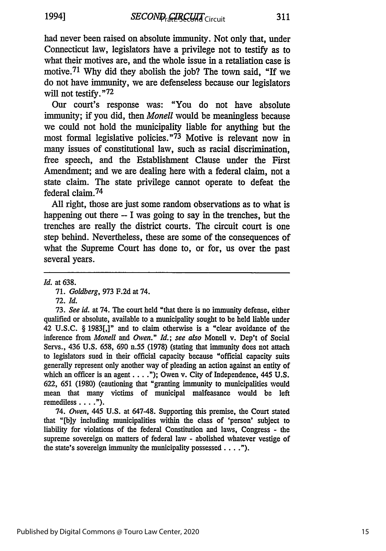had never been raised on absolute immunity. Not only that, under Connecticut law, legislators have a privilege not to testify as to what their motives are, and the whole issue in a retaliation case is motive. <sup>71</sup>**Why** did they abolish the **job?** The town said, "If we do not have immunity, we are defenseless because our legislators will not testify."<sup>72</sup>

Our court's response was: "You do not have absolute immunity; if you did, then *Monell* would be meaningless because we could not hold the municipality liable for anything but the most formal legislative policies."<sup>73</sup> Motive is relevant now in many issues of constitutional law, such as racial discrimination, free speech, and the Establishment Clause under the First Amendment; and we are dealing here with a federal claim, not a state claim. The state privilege cannot operate to defeat the federal claim.<sup>74</sup>

**All** right, those are just some random observations as to what is happening out there **-** I was going to say in the trenches, but the trenches are really the district courts. The circuit court is one step behind. Nevertheless, these are some of the consequences of what the Supreme Court has done to, or for, us over the past several years.

*Id.* at **638.**

**71.** *Goldberg,* **973 F.2d** at 74.

**72.** *Id.*

**73.** *See id.* at 74. The court held "that there is no immunity defense, either qualified or absolute, available to a municipality sought to be **held** liable under 42 **U.S.C. § 1983[,"** and to claim otherwise is a "clear avoidance of the inference from *Monell and Owen." Id.; see also* Monell v. Dep't of Social Servs., 436 **U.S. 658, 690** n.55 **(1978)** (stating that immunity does not attach to legislators sued in their official capacity because "official capacity suits generally represent only another way of pleading an action against an entity of which an officer is an agent **.... ");** Owen v. City of Independence, 445 **U.S. 622, 651 (1980)** (cautioning that "granting immunity to municipalities would mean that many victims of municipal malfeasance would be left remediless **.... ").**

74. *Owen,* 445 **U.S.** at 647-48. Supporting this premise, the Court stated that **"[b]y** including municipalities within the class of 'person' subject to liability for violations of the federal Constitution and laws, Congress **-** the supreme sovereign on matters of federal law **-** abolished whatever vestige of the state's sovereign immunity the municipality possessed **.. ").**